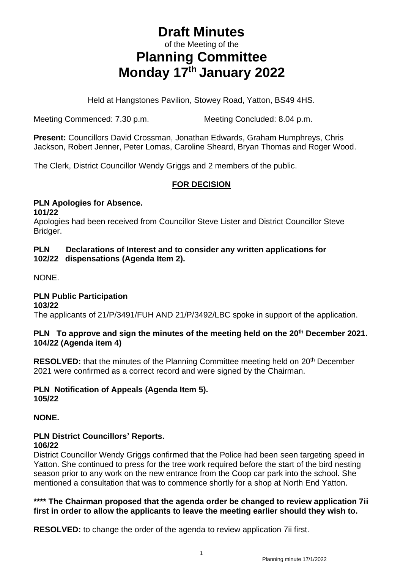# **Draft Minutes** of the Meeting of the **Planning Committee Monday 17th January 2022**

Held at Hangstones Pavilion, Stowey Road, Yatton, BS49 4HS.

Meeting Commenced: 7.30 p.m. Meeting Concluded: 8.04 p.m.

**Present:** Councillors David Crossman, Jonathan Edwards, Graham Humphreys, Chris Jackson, Robert Jenner, Peter Lomas, Caroline Sheard, Bryan Thomas and Roger Wood.

The Clerk, District Councillor Wendy Griggs and 2 members of the public.

## **FOR DECISION**

#### **PLN Apologies for Absence. 101/22**

Apologies had been received from Councillor Steve Lister and District Councillor Steve Bridger.

### **PLN Declarations of Interest and to consider any written applications for 102/22 dispensations (Agenda Item 2).**

NONE.

## **PLN Public Participation**

**103/22**

The applicants of 21/P/3491/FUH AND 21/P/3492/LBC spoke in support of the application.

#### **PLN To approve and sign the minutes of the meeting held on the 20 th December 2021. 104/22 (Agenda item 4)**

**RESOLVED:** that the minutes of the Planning Committee meeting held on 20<sup>th</sup> December 2021 were confirmed as a correct record and were signed by the Chairman.

# **PLN Notification of Appeals (Agenda Item 5).**

**105/22**

## **NONE.**

## **PLN District Councillors' Reports.**

### **106/22**

District Councillor Wendy Griggs confirmed that the Police had been seen targeting speed in Yatton. She continued to press for the tree work required before the start of the bird nesting season prior to any work on the new entrance from the Coop car park into the school. She mentioned a consultation that was to commence shortly for a shop at North End Yatton.

### **\*\*\*\* The Chairman proposed that the agenda order be changed to review application 7ii first in order to allow the applicants to leave the meeting earlier should they wish to.**

**RESOLVED:** to change the order of the agenda to review application 7ii first.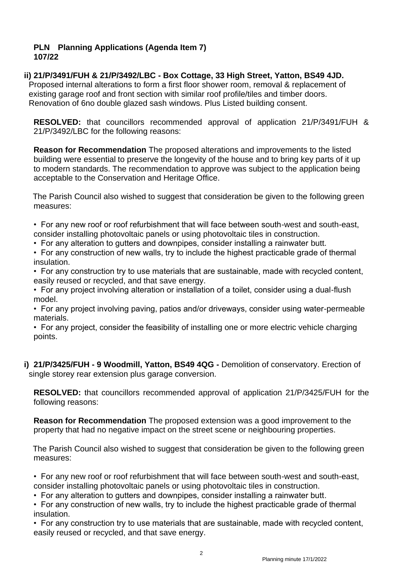#### **PLN Planning Applications (Agenda Item 7) 107/22**

## **ii) 21/P/3491/FUH & 21/P/3492/LBC - Box Cottage, 33 High Street, Yatton, BS49 4JD.**

Proposed internal alterations to form a first floor shower room, removal & replacement of existing garage roof and front section with similar roof profile/tiles and timber doors. Renovation of 6no double glazed sash windows. Plus Listed building consent.

**RESOLVED:** that councillors recommended approval of application 21/P/3491/FUH & 21/P/3492/LBC for the following reasons:

**Reason for Recommendation** The proposed alterations and improvements to the listed building were essential to preserve the longevity of the house and to bring key parts of it up to modern standards. The recommendation to approve was subject to the application being acceptable to the Conservation and Heritage Office.

 The Parish Council also wished to suggest that consideration be given to the following green measures:

• For any new roof or roof refurbishment that will face between south-west and south-east, consider installing photovoltaic panels or using photovoltaic tiles in construction.

• For any alteration to gutters and downpipes, consider installing a rainwater butt.

• For any construction of new walls, try to include the highest practicable grade of thermal insulation.

- For any construction try to use materials that are sustainable, made with recycled content, easily reused or recycled, and that save energy.
- For any project involving alteration or installation of a toilet, consider using a dual-flush model.

• For any project involving paving, patios and/or driveways, consider using water-permeable materials.

• For any project, consider the feasibility of installing one or more electric vehicle charging points.

**i) 21/P/3425/FUH - 9 Woodmill, Yatton, BS49 4QG -** Demolition of conservatory. Erection of single storey rear extension plus garage conversion.

**RESOLVED:** that councillors recommended approval of application 21/P/3425/FUH for the following reasons:

**Reason for Recommendation** The proposed extension was a good improvement to the property that had no negative impact on the street scene or neighbouring properties.

 The Parish Council also wished to suggest that consideration be given to the following green measures:

• For any new roof or roof refurbishment that will face between south-west and south-east, consider installing photovoltaic panels or using photovoltaic tiles in construction.

• For any alteration to gutters and downpipes, consider installing a rainwater butt.

• For any construction of new walls, try to include the highest practicable grade of thermal insulation.

• For any construction try to use materials that are sustainable, made with recycled content, easily reused or recycled, and that save energy.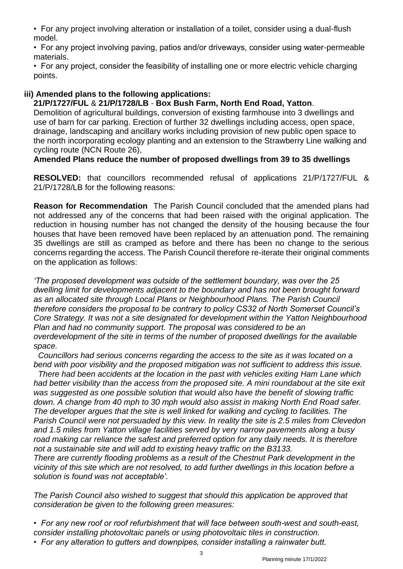• For any project involving alteration or installation of a toilet, consider using a dual-flush model.

• For any project involving paving, patios and/or driveways, consider using water-permeable materials.

• For any project, consider the feasibility of installing one or more electric vehicle charging points.

## **iii) Amended plans to the following applications:**

**21/P/1727/FUL** & **21/P/1728/LB** - **Box Bush Farm, North End Road, Yatton**.

Demolition of agricultural buildings, conversion of existing farmhouse into 3 dwellings and use of barn for car parking. Erection of further 32 dwellings including access, open space, drainage, landscaping and ancillary works including provision of new public open space to the north incorporating ecology planting and an extension to the Strawberry Line walking and cycling route (NCN Route 26),

**Amended Plans reduce the number of proposed dwellings from 39 to 35 dwellings**

**RESOLVED:** that councillors recommended refusal of applications 21/P/1727/FUL & 21/P/1728/LB for the following reasons:

**Reason for Recommendation** The Parish Council concluded that the amended plans had not addressed any of the concerns that had been raised with the original application. The reduction in housing number has not changed the density of the housing because the four houses that have been removed have been replaced by an attenuation pond. The remaining 35 dwellings are still as cramped as before and there has been no change to the serious concerns regarding the access. The Parish Council therefore re-iterate their original comments on the application as follows:

*'The proposed development was outside of the settlement boundary, was over the 25 dwelling limit for developments adjacent to the boundary and has not been brought forward as an allocated site through Local Plans or Neighbourhood Plans. The Parish Council therefore considers the proposal to be contrary to policy CS32 of North Somerset Council's Core Strategy. It was not a site designated for development within the Yatton Neighbourhood Plan and had no community support. The proposal was considered to be an overdevelopment of the site in terms of the number of proposed dwellings for the available space.*

 *Councillors had serious concerns regarding the access to the site as it was located on a bend with poor visibility and the proposed mitigation was not sufficient to address this issue.* 

 *There had been accidents at the location in the past with vehicles exiting Ham Lane which had better visibility than the access from the proposed site. A mini roundabout at the site exit was suggested as one possible solution that would also have the benefit of slowing traffic down. A change from 40 mph to 30 mph would also assist in making North End Road safer. The developer argues that the site is well linked for walking and cycling to facilities. The Parish Council were not persuaded by this view. In reality the site is 2.5 miles from Clevedon and 1.5 miles from Yatton village facilities served by very narrow pavements along a busy road making car reliance the safest and preferred option for any daily needs. It is therefore not a sustainable site and will add to existing heavy traffic on the B3133.*

*There are currently flooding problems as a result of the Chestnut Park development in the vicinity of this site which are not resolved, to add further dwellings in this location before a solution is found was not acceptable'.* 

*The Parish Council also wished to suggest that should this application be approved that consideration be given to the following green measures:* 

*• For any new roof or roof refurbishment that will face between south-west and south-east, consider installing photovoltaic panels or using photovoltaic tiles in construction. • For any alteration to gutters and downpipes, consider installing a rainwater butt.*